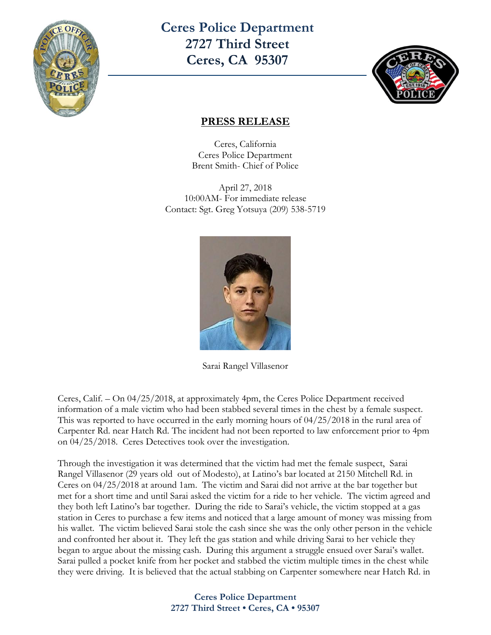

**Ceres Police Department 2727 Third Street Ceres, CA 95307**



## **PRESS RELEASE**

Ceres, California Ceres Police Department Brent Smith- Chief of Police

April 27, 2018 10:00AM- For immediate release Contact: Sgt. Greg Yotsuya (209) 538-5719



Sarai Rangel Villasenor

Ceres, Calif. – On 04/25/2018, at approximately 4pm, the Ceres Police Department received information of a male victim who had been stabbed several times in the chest by a female suspect. This was reported to have occurred in the early morning hours of 04/25/2018 in the rural area of Carpenter Rd. near Hatch Rd. The incident had not been reported to law enforcement prior to 4pm on 04/25/2018. Ceres Detectives took over the investigation.

Through the investigation it was determined that the victim had met the female suspect, Sarai Rangel Villasenor (29 years old out of Modesto), at Latino's bar located at 2150 Mitchell Rd. in Ceres on 04/25/2018 at around 1am. The victim and Sarai did not arrive at the bar together but met for a short time and until Sarai asked the victim for a ride to her vehicle. The victim agreed and they both left Latino's bar together. During the ride to Sarai's vehicle, the victim stopped at a gas station in Ceres to purchase a few items and noticed that a large amount of money was missing from his wallet. The victim believed Sarai stole the cash since she was the only other person in the vehicle and confronted her about it. They left the gas station and while driving Sarai to her vehicle they began to argue about the missing cash. During this argument a struggle ensued over Sarai's wallet. Sarai pulled a pocket knife from her pocket and stabbed the victim multiple times in the chest while they were driving. It is believed that the actual stabbing on Carpenter somewhere near Hatch Rd. in

## **Ceres Police Department 2727 Third Street • Ceres, CA • 95307**